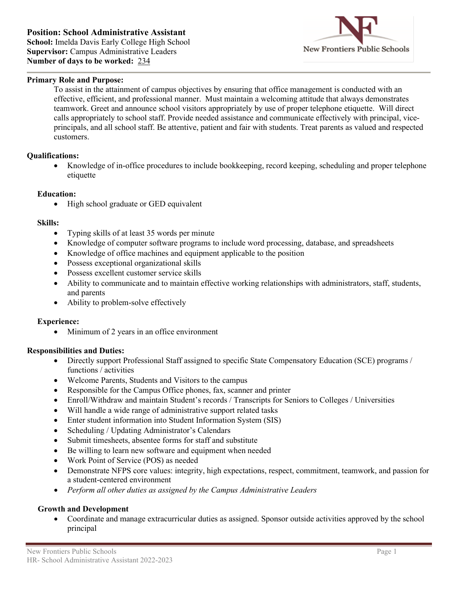

# **Primary Role and Purpose:**

To assist in the attainment of campus objectives by ensuring that office management is conducted with an effective, efficient, and professional manner. Must maintain a welcoming attitude that always demonstrates teamwork. Greet and announce school visitors appropriately by use of proper telephone etiquette. Will direct calls appropriately to school staff. Provide needed assistance and communicate effectively with principal, viceprincipals, and all school staff. Be attentive, patient and fair with students. Treat parents as valued and respected customers.

### **Qualifications:**

• Knowledge of in-office procedures to include bookkeeping, record keeping, scheduling and proper telephone etiquette

### **Education:**

• High school graduate or GED equivalent

#### **Skills:**

- Typing skills of at least 35 words per minute
- Knowledge of computer software programs to include word processing, database, and spreadsheets
- Knowledge of office machines and equipment applicable to the position
- Possess exceptional organizational skills
- Possess excellent customer service skills
- Ability to communicate and to maintain effective working relationships with administrators, staff, students, and parents
- Ability to problem-solve effectively

### **Experience:**

• Minimum of 2 years in an office environment

### **Responsibilities and Duties:**

- Directly support Professional Staff assigned to specific State Compensatory Education (SCE) programs / functions / activities
- Welcome Parents, Students and Visitors to the campus
- Responsible for the Campus Office phones, fax, scanner and printer
- Enroll/Withdraw and maintain Student's records / Transcripts for Seniors to Colleges / Universities
- Will handle a wide range of administrative support related tasks
- Enter student information into Student Information System (SIS)
- Scheduling / Updating Administrator's Calendars
- Submit timesheets, absentee forms for staff and substitute
- Be willing to learn new software and equipment when needed
- Work Point of Service (POS) as needed
- Demonstrate NFPS core values: integrity, high expectations, respect, commitment, teamwork, and passion for a student-centered environment
- *Perform all other duties as assigned by the Campus Administrative Leaders*

### **Growth and Development**

• Coordinate and manage extracurricular duties as assigned. Sponsor outside activities approved by the school principal